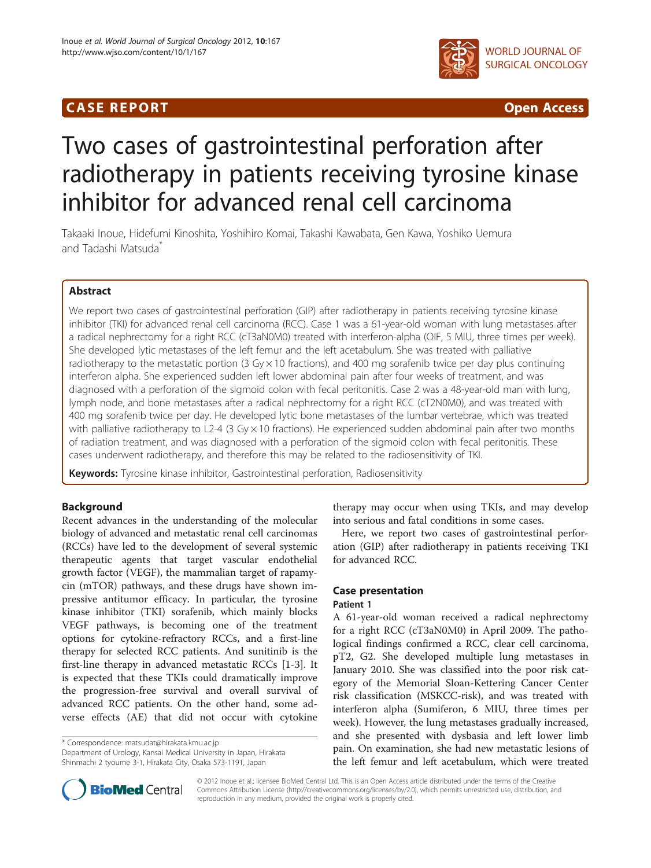# **CASE REPORT CASE REPORT CASE REPORT**



# Two cases of gastrointestinal perforation after radiotherapy in patients receiving tyrosine kinase inhibitor for advanced renal cell carcinoma

Takaaki Inoue, Hidefumi Kinoshita, Yoshihiro Komai, Takashi Kawabata, Gen Kawa, Yoshiko Uemura and Tadashi Matsuda\*

# Abstract

We report two cases of gastrointestinal perforation (GIP) after radiotherapy in patients receiving tyrosine kinase inhibitor (TKI) for advanced renal cell carcinoma (RCC). Case 1 was a 61-year-old woman with lung metastases after a radical nephrectomy for a right RCC (cT3aN0M0) treated with interferon-alpha (OIF, 5 MIU, three times per week). She developed lytic metastases of the left femur and the left acetabulum. She was treated with palliative radiotherapy to the metastatic portion (3 Gy  $\times$  10 fractions), and 400 mg sorafenib twice per day plus continuing interferon alpha. She experienced sudden left lower abdominal pain after four weeks of treatment, and was diagnosed with a perforation of the sigmoid colon with fecal peritonitis. Case 2 was a 48-year-old man with lung, lymph node, and bone metastases after a radical nephrectomy for a right RCC (cT2N0M0), and was treated with 400 mg sorafenib twice per day. He developed lytic bone metastases of the lumbar vertebrae, which was treated with palliative radiotherapy to L2-4 (3 Gy  $\times$  10 fractions). He experienced sudden abdominal pain after two months of radiation treatment, and was diagnosed with a perforation of the sigmoid colon with fecal peritonitis. These cases underwent radiotherapy, and therefore this may be related to the radiosensitivity of TKI.

Keywords: Tyrosine kinase inhibitor, Gastrointestinal perforation, Radiosensitivity

# Background

Recent advances in the understanding of the molecular biology of advanced and metastatic renal cell carcinomas (RCCs) have led to the development of several systemic therapeutic agents that target vascular endothelial growth factor (VEGF), the mammalian target of rapamycin (mTOR) pathways, and these drugs have shown impressive antitumor efficacy. In particular, the tyrosine kinase inhibitor (TKI) sorafenib, which mainly blocks VEGF pathways, is becoming one of the treatment options for cytokine-refractory RCCs, and a first-line therapy for selected RCC patients. And sunitinib is the first-line therapy in advanced metastatic RCCs [\[1](#page-4-0)-[3\]](#page-4-0). It is expected that these TKIs could dramatically improve the progression-free survival and overall survival of advanced RCC patients. On the other hand, some adverse effects (AE) that did not occur with cytokine

\* Correspondence: [matsudat@hirakata.kmu.ac.jp](mailto:matsudat@hirakata.kmu.ac.jp)

Department of Urology, Kansai Medical University in Japan, Hirakata Shinmachi 2 tyoume 3-1, Hirakata City, Osaka 573-1191, Japan



Here, we report two cases of gastrointestinal perforation (GIP) after radiotherapy in patients receiving TKI for advanced RCC.

# Case presentation

#### Patient 1

A 61-year-old woman received a radical nephrectomy for a right RCC (cT3aN0M0) in April 2009. The pathological findings confirmed a RCC, clear cell carcinoma, pT2, G2. She developed multiple lung metastases in January 2010. She was classified into the poor risk category of the Memorial Sloan-Kettering Cancer Center risk classification (MSKCC-risk), and was treated with interferon alpha (Sumiferon, 6 MIU, three times per week). However, the lung metastases gradually increased, and she presented with dysbasia and left lower limb pain. On examination, she had new metastatic lesions of the left femur and left acetabulum, which were treated



© 2012 Inoue et al.; licensee BioMed Central Ltd. This is an Open Access article distributed under the terms of the Creative Commons Attribution License [\(http://creativecommons.org/licenses/by/2.0\)](http://creativecommons.org/licenses/by/2.0), which permits unrestricted use, distribution, and reproduction in any medium, provided the original work is properly cited.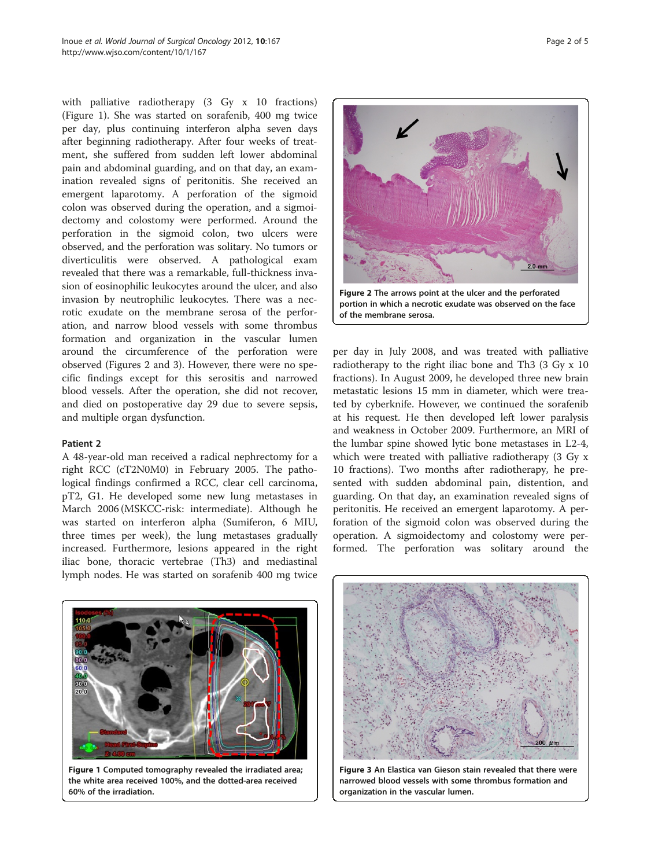with palliative radiotherapy (3 Gy x 10 fractions) (Figure 1). She was started on sorafenib, 400 mg twice per day, plus continuing interferon alpha seven days after beginning radiotherapy. After four weeks of treatment, she suffered from sudden left lower abdominal pain and abdominal guarding, and on that day, an examination revealed signs of peritonitis. She received an emergent laparotomy. A perforation of the sigmoid colon was observed during the operation, and a sigmoidectomy and colostomy were performed. Around the perforation in the sigmoid colon, two ulcers were observed, and the perforation was solitary. No tumors or diverticulitis were observed. A pathological exam revealed that there was a remarkable, full-thickness invasion of eosinophilic leukocytes around the ulcer, and also invasion by neutrophilic leukocytes. There was a necrotic exudate on the membrane serosa of the perforation, and narrow blood vessels with some thrombus formation and organization in the vascular lumen around the circumference of the perforation were observed (Figures 2 and 3). However, there were no specific findings except for this serositis and narrowed blood vessels. After the operation, she did not recover, and died on postoperative day 29 due to severe sepsis, and multiple organ dysfunction.

#### Patient 2

A 48-year-old man received a radical nephrectomy for a right RCC (cT2N0M0) in February 2005. The pathological findings confirmed a RCC, clear cell carcinoma, pT2, G1. He developed some new lung metastases in March 2006 (MSKCC-risk: intermediate). Although he was started on interferon alpha (Sumiferon, 6 MIU, three times per week), the lung metastases gradually increased. Furthermore, lesions appeared in the right iliac bone, thoracic vertebrae (Th3) and mediastinal lymph nodes. He was started on sorafenib 400 mg twice



per day in July 2008, and was treated with palliative radiotherapy to the right iliac bone and Th3 (3 Gy x 10 fractions). In August 2009, he developed three new brain metastatic lesions 15 mm in diameter, which were treated by cyberknife. However, we continued the sorafenib at his request. He then developed left lower paralysis and weakness in October 2009. Furthermore, an MRI of the lumbar spine showed lytic bone metastases in L2-4, which were treated with palliative radiotherapy (3 Gy x 10 fractions). Two months after radiotherapy, he presented with sudden abdominal pain, distention, and guarding. On that day, an examination revealed signs of peritonitis. He received an emergent laparotomy. A perforation of the sigmoid colon was observed during the operation. A sigmoidectomy and colostomy were performed. The perforation was solitary around the



Figure 1 Computed tomography revealed the irradiated area; the white area received 100%, and the dotted-area received 60% of the irradiation.



Figure 3 An Elastica van Gieson stain revealed that there were narrowed blood vessels with some thrombus formation and organization in the vascular lumen.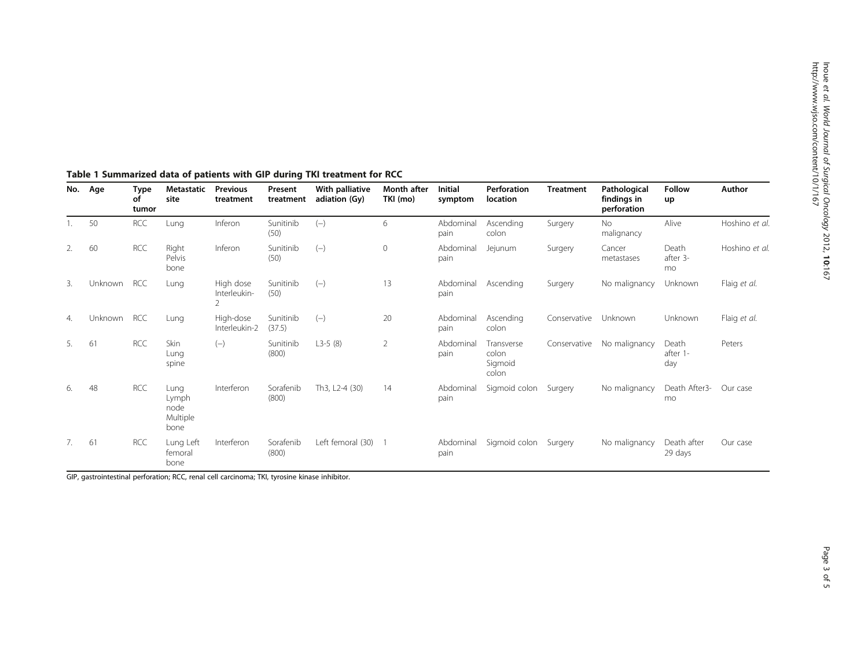| No. | Age            | Type<br>οf<br>tumor | Metastatic<br>site                        | <b>Previous</b><br>treatment   | Present<br>treatment | With palliative<br>adiation (Gy) | Month after<br>TKI (mo) | <b>Initial</b><br>symptom | Perforation<br>location                 | Treatment    | Pathological<br>findings in<br>perforation | <b>Follow</b><br>up      | Author         |
|-----|----------------|---------------------|-------------------------------------------|--------------------------------|----------------------|----------------------------------|-------------------------|---------------------------|-----------------------------------------|--------------|--------------------------------------------|--------------------------|----------------|
|     |                |                     |                                           |                                |                      |                                  |                         |                           |                                         |              |                                            |                          |                |
| 2.  | 60             | <b>RCC</b>          | Right<br>Pelvis<br>bone                   | Inferon                        | Sunitinib<br>(50)    | $(-)$                            | 0                       | Abdominal<br>pain         | Jejunum                                 | Surgery      | Cancer<br>metastases                       | Death<br>after 3-<br>mo  | Hoshino et al. |
| 3.  | <b>Unknown</b> | <b>RCC</b>          | Lung                                      | High dose<br>Interleukin-<br>2 | Sunitinib<br>(50)    | $(-)$                            | 13                      | Abdominal<br>pain         | Ascending                               | Surgery      | No malignancy                              | Unknown                  | Flaig et al.   |
| 4.  | Unknown        | <b>RCC</b>          | Lung                                      | High-dose<br>Interleukin-2     | Sunitinib<br>(37.5)  | $(-)$                            | 20                      | Abdominal<br>pain         | Ascending<br>colon                      | Conservative | Unknown                                    | Unknown                  | Flaig et al.   |
| 5.  | 61             | <b>RCC</b>          | Skin<br>Lung<br>spine                     | $(-)$                          | Sunitinib<br>(800)   | $L3-5(8)$                        | 2                       | Abdominal<br>pain         | Transverse<br>colon<br>Sigmoid<br>colon | Conservative | No malignancy                              | Death<br>after 1-<br>day | Peters         |
| 6.  | 48             | <b>RCC</b>          | Lung<br>Lymph<br>node<br>Multiple<br>bone | Interferon                     | Sorafenib<br>(800)   | Th3, L2-4 (30)                   | 14                      | Abdominal<br>pain         | Sigmoid colon                           | Surgery      | No malignancy                              | Death After3-<br>mo      | Our case       |
| 7.  | 61             | <b>RCC</b>          | Lung Left<br>femoral<br>bone              | Interferon                     | Sorafenib<br>(800)   | Left femoral (30)                |                         | Abdominal<br>pain         | Sigmoid colon                           | Surgery      | No malignancy                              | Death after<br>29 days   | Our case       |

# <span id="page-2-0"></span>Table 1 Summarized data of patients with GIP during TKI treatment for RCC

GIP, gastrointestinal perforation; RCC, renal cell carcinoma; TKI, tyrosine kinase inhibitor.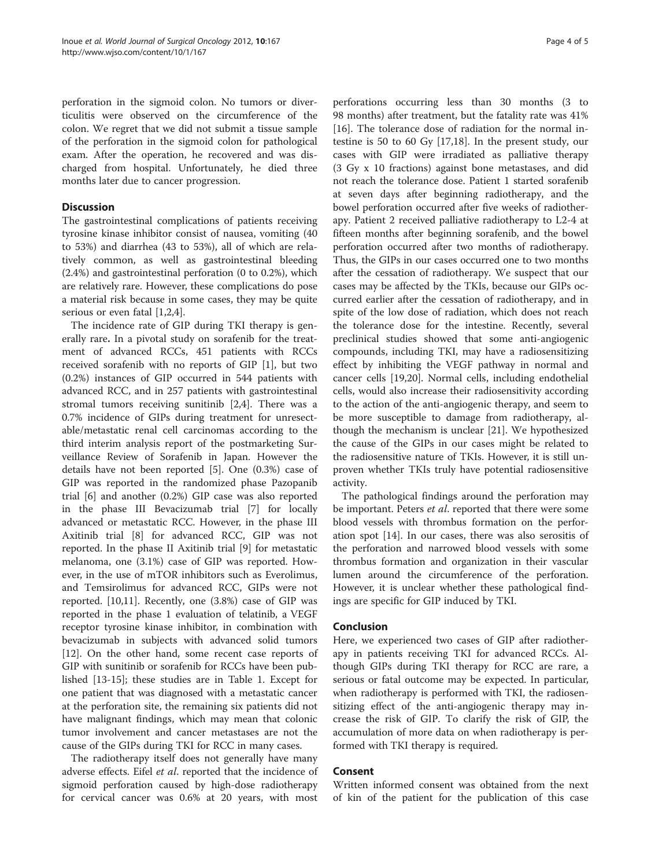perforation in the sigmoid colon. No tumors or diverticulitis were observed on the circumference of the colon. We regret that we did not submit a tissue sample of the perforation in the sigmoid colon for pathological exam. After the operation, he recovered and was discharged from hospital. Unfortunately, he died three months later due to cancer progression.

# **Discussion**

The gastrointestinal complications of patients receiving tyrosine kinase inhibitor consist of nausea, vomiting (40 to 53%) and diarrhea (43 to 53%), all of which are relatively common, as well as gastrointestinal bleeding (2.4%) and gastrointestinal perforation (0 to 0.2%), which are relatively rare. However, these complications do pose a material risk because in some cases, they may be quite serious or even fatal [\[1,2,4](#page-4-0)].

The incidence rate of GIP during TKI therapy is generally rare. In a pivotal study on sorafenib for the treatment of advanced RCCs, 451 patients with RCCs received sorafenib with no reports of GIP [[1\]](#page-4-0), but two (0.2%) instances of GIP occurred in 544 patients with advanced RCC, and in 257 patients with gastrointestinal stromal tumors receiving sunitinib [[2,4\]](#page-4-0). There was a 0.7% incidence of GIPs during treatment for unresectable/metastatic renal cell carcinomas according to the third interim analysis report of the postmarketing Surveillance Review of Sorafenib in Japan. However the details have not been reported [[5\]](#page-4-0). One (0.3%) case of GIP was reported in the randomized phase Pazopanib trial [\[6](#page-4-0)] and another (0.2%) GIP case was also reported in the phase III Bevacizumab trial [[7](#page-4-0)] for locally advanced or metastatic RCC. However, in the phase III Axitinib trial [[8\]](#page-4-0) for advanced RCC, GIP was not reported. In the phase II Axitinib trial [\[9](#page-4-0)] for metastatic melanoma, one (3.1%) case of GIP was reported. However, in the use of mTOR inhibitors such as Everolimus, and Temsirolimus for advanced RCC, GIPs were not reported. [\[10,11\]](#page-4-0). Recently, one (3.8%) case of GIP was reported in the phase 1 evaluation of telatinib, a VEGF receptor tyrosine kinase inhibitor, in combination with bevacizumab in subjects with advanced solid tumors [[12\]](#page-4-0). On the other hand, some recent case reports of GIP with sunitinib or sorafenib for RCCs have been published [\[13-15](#page-4-0)]; these studies are in Table [1](#page-2-0). Except for one patient that was diagnosed with a metastatic cancer at the perforation site, the remaining six patients did not have malignant findings, which may mean that colonic tumor involvement and cancer metastases are not the cause of the GIPs during TKI for RCC in many cases.

The radiotherapy itself does not generally have many adverse effects. Eifel et al. reported that the incidence of sigmoid perforation caused by high-dose radiotherapy for cervical cancer was 0.6% at 20 years, with most

perforations occurring less than 30 months (3 to 98 months) after treatment, but the fatality rate was 41% [[16\]](#page-4-0). The tolerance dose of radiation for the normal intestine is 50 to 60 Gy [\[17,18\]](#page-4-0). In the present study, our cases with GIP were irradiated as palliative therapy (3 Gy x 10 fractions) against bone metastases, and did not reach the tolerance dose. Patient 1 started sorafenib at seven days after beginning radiotherapy, and the bowel perforation occurred after five weeks of radiotherapy. Patient 2 received palliative radiotherapy to L2-4 at fifteen months after beginning sorafenib, and the bowel perforation occurred after two months of radiotherapy. Thus, the GIPs in our cases occurred one to two months after the cessation of radiotherapy. We suspect that our cases may be affected by the TKIs, because our GIPs occurred earlier after the cessation of radiotherapy, and in spite of the low dose of radiation, which does not reach the tolerance dose for the intestine. Recently, several preclinical studies showed that some anti-angiogenic compounds, including TKI, may have a radiosensitizing effect by inhibiting the VEGF pathway in normal and cancer cells [\[19,20](#page-4-0)]. Normal cells, including endothelial cells, would also increase their radiosensitivity according to the action of the anti-angiogenic therapy, and seem to be more susceptible to damage from radiotherapy, although the mechanism is unclear [\[21](#page-4-0)]. We hypothesized the cause of the GIPs in our cases might be related to the radiosensitive nature of TKIs. However, it is still unproven whether TKIs truly have potential radiosensitive activity.

The pathological findings around the perforation may be important. Peters et al. reported that there were some blood vessels with thrombus formation on the perforation spot [[14](#page-4-0)]. In our cases, there was also serositis of the perforation and narrowed blood vessels with some thrombus formation and organization in their vascular lumen around the circumference of the perforation. However, it is unclear whether these pathological findings are specific for GIP induced by TKI.

### Conclusion

Here, we experienced two cases of GIP after radiotherapy in patients receiving TKI for advanced RCCs. Although GIPs during TKI therapy for RCC are rare, a serious or fatal outcome may be expected. In particular, when radiotherapy is performed with TKI, the radiosensitizing effect of the anti-angiogenic therapy may increase the risk of GIP. To clarify the risk of GIP, the accumulation of more data on when radiotherapy is performed with TKI therapy is required.

#### Consent

Written informed consent was obtained from the next of kin of the patient for the publication of this case